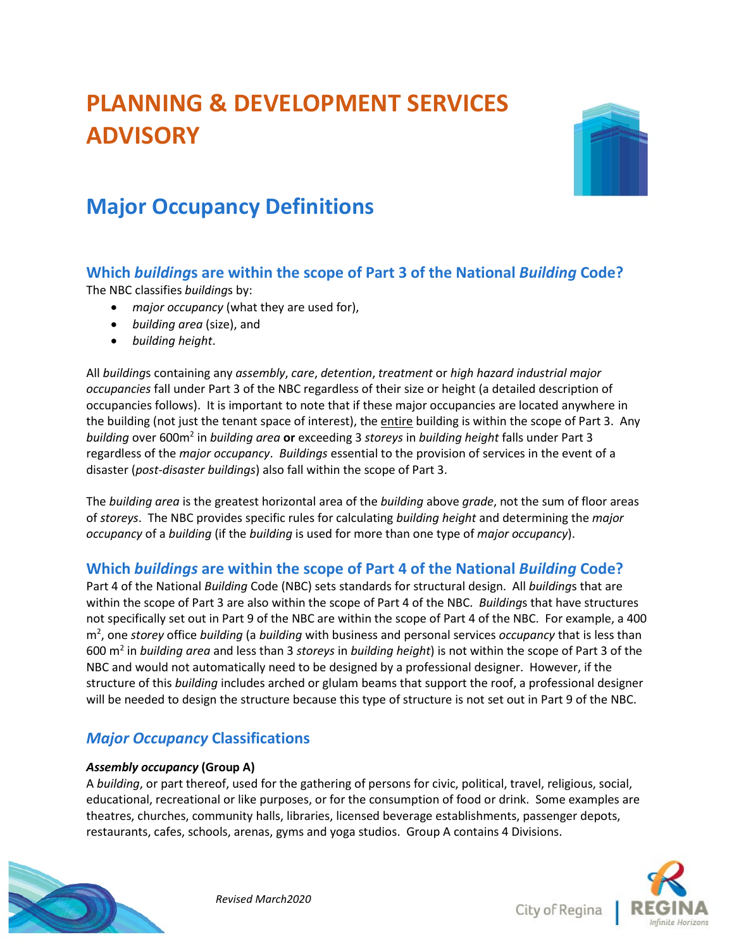# **PLANNING & DEVELOPMENT SERVICES ADVISORY**



## **Major Occupancy Definitions**

## **Which** *building***s are within the scope of Part 3 of the National** *Building* **Code?**

The NBC classifies *building*s by:

- *major occupancy* (what they are used for),
- *building area* (size), and
- *building height*.

All *building*s containing any *assembly*, *care*, *detention*, *treatment* or *high hazard industrial major occupancies* fall under Part 3 of the NBC regardless of their size or height (a detailed description of occupancies follows). It is important to note that if these major occupancies are located anywhere in the building (not just the tenant space of interest), the entire building is within the scope of Part 3. Any *building* over 600m2 in *building area* **or** exceeding 3 *storeys* in *building height* falls under Part 3 regardless of the *major occupancy*. *Buildings* essential to the provision of services in the event of a disaster (*post-disaster buildings*) also fall within the scope of Part 3.

The *building area* is the greatest horizontal area of the *building* above *grade*, not the sum of floor areas of *storeys*. The NBC provides specific rules for calculating *building height* and determining the *major occupancy* of a *building* (if the *building* is used for more than one type of *major occupancy*).

## **Which** *buildings* **are within the scope of Part 4 of the National** *Building* **Code?**

Part 4 of the National *Building* Code (NBC) sets standards for structural design. All *building*s that are within the scope of Part 3 are also within the scope of Part 4 of the NBC. *Building*s that have structures not specifically set out in Part 9 of the NBC are within the scope of Part 4 of the NBC. For example, a 400 m2 , one *storey* office *building* (a *building* with business and personal services *occupancy* that is less than 600 m2 in *building area* and less than 3 *storeys* in *building height*) is not within the scope of Part 3 of the NBC and would not automatically need to be designed by a professional designer. However, if the structure of this *building* includes arched or glulam beams that support the roof, a professional designer will be needed to design the structure because this type of structure is not set out in Part 9 of the NBC.

## *Major Occupancy* **Classifications**

#### *Assembly occupancy* **(Group A)**

A *building*, or part thereof, used for the gathering of persons for civic, political, travel, religious, social, educational, recreational or like purposes, or for the consumption of food or drink. Some examples are theatres, churches, community halls, libraries, licensed beverage establishments, passenger depots, restaurants, cafes, schools, arenas, gyms and yoga studios. Group A contains 4 Divisions.